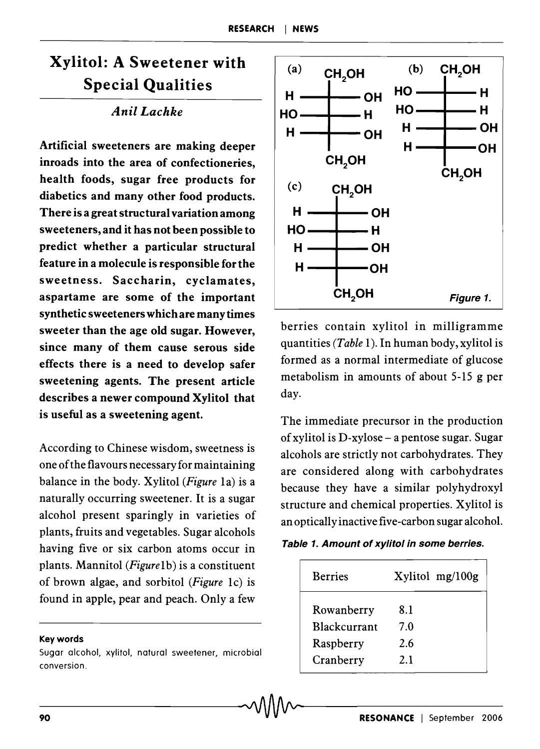# Xylitol: A Sweetener with Special Qualities

### *Anil Lachke*

Artificial sweeteners are making deeper inroads into the area of confectioneries, health foods, sugar free products for diabetics and many other food products. There is a great structural variation among sweeteners, and it has not been possible to predict whether a particular structural feature in a molecule is responsible for the sweetness. Saccharin, cyclamates, aspartame are some of the important synthetic sweeteners which are many times sweeter than the age old sugar. However, since many of them cause serous side effects there is a need to develop safer sweetening agents. The present article describes a newer compound Xylitol that is useful as a sweetening agent.

According to Chinese wisdom, sweetness is one ofthe flavours necessary for maintaining balance in the body. Xylitol *(Figure* la) is a naturally occurring sweetener. It is a sugar alcohol present sparingly in varieties of plants, fruits and vegetables. Sugar alcohols having five or six carbon atoms occur in plants. Mannitol *(Figurelb)* is a constituent of brown algae, and sorbitol *(Figure* lc) is found in apple, pear and peach. Only a few

#### Keywords

Sugar alcohol, xylitol, natural sweetener, microbial conversion.



berries contain xylitol in milligramme quantities *(Table* 1). In human body, xylitol is formed as a normal intermediate of glucose metabolism in amounts of about 5-15 g per day.

The immediate precursor in the production ofxylitol is D-xylose - a pentose sugar. Sugar alcohols are strictly not carbohydrates. They are considered along with carbohydrates because they have a similar polyhydroxyl structure and chemical properties. Xylitol is an optically inactive five-carbon sugar alcohol.

|  |  |  |  | Table 1. Amount of xylitol in some berries. |  |  |
|--|--|--|--|---------------------------------------------|--|--|
|--|--|--|--|---------------------------------------------|--|--|

| <b>Berries</b>                    | Xylitol mg/100g |
|-----------------------------------|-----------------|
| Rowanberry<br><b>Rlackcurrant</b> | 8.1<br>7.0      |
| Raspberry                         | 2.6             |
| Cranberry                         | 21              |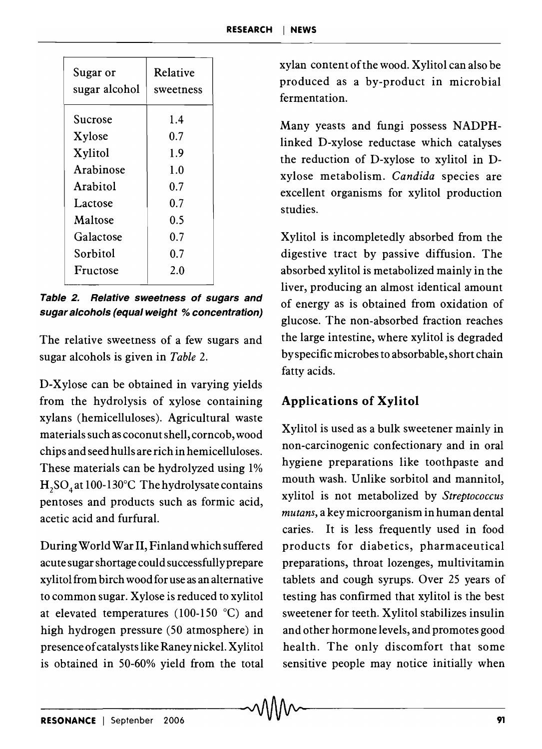| Sugar or<br>sugar alcohol | Relative<br>sweetness |
|---------------------------|-----------------------|
| Sucrose                   | 1.4                   |
| Xylose                    | 0.7                   |
| Xylitol                   | 1.9                   |
| Arabinose                 | 1.0                   |
| Arabitol                  | 0.7                   |
| Lactose                   | 0.7                   |
| Maltose                   | 0.5                   |
| Galactose                 | 0.7                   |
| Sorbitol                  | 0.7                   |
| Fructose                  | 2.0                   |
|                           |                       |

**Table 2. Relative sweetness of sugars and sugar alcohols (equal weight % concentration)** 

The relative sweetness of a few sugars and sugar alcohols is given in *Table 2.* 

D-Xylose can be obtained in varying yields from the hydrolysis of xylose containing xylans (hemicelluloses). Agricultural waste materials such as coconut shell, corncob, wood chips and seed hulls are rich in hemicelluloses. These materials can be hydrolyzed using 1%  $H_2SO_4$  at 100-130°C The hydrolysate contains pentoses and products such as formic acid, acetic acid and furfural.

During World War II, Finland which suffered acute sugar shortage could successfully prepare xylitolfrom birch wood for use as an alternative to common sugar. Xylose is reduced to xylitol at elevated temperatures (100-150  $^{\circ}$ C) and high hydrogen pressure (50 atmosphere) in presence of catalysts like Raney nickel. Xylitol is obtained in 50-60% yield from the total xylan content ofthe wood. Xylitol can also be produced as a by-product in microbial fermentation.

Many yeasts and fungi possess NADPHlinked D-xylose reductase which catalyses the reduction of D-xylose to xylitol in Dxylose metabolism. *Candida* species are excellent organisms for xylitol production studies.

Xylitol is incompletedly absorbed from the digestive tract by passive diffusion. The absorbed xylitol is metabolized mainly in the liver, producing an almost identical amount of energy as is obtained from oxidation of glucose. The non-absorbed fraction reaches the large intestine, where xylitol is degraded by specific microbes to absorbable, short chain fatty acids.

## **Applications of Xylitol**

Xylitol is used as a bulk sweetener mainly in non-carcinogenic confectionary and in oral hygiene preparations like toothpaste and mouth wash. Unlike sorbitol and mannitol, xylitol is not metabolized by *Streptococcus mutans,* a key microorganism in human dental caries. It is less frequently used in food products for diabetics, pharmaceutical preparations, throat lozenges, multivitamin tablets and cough syrups. Over 25 years of testing has confirmed that xylitol is the best sweetener for teeth. Xylitol stabilizes insulin and other hormone levels, and promotes good health. The only discomfort that some sensitive people may notice initially when